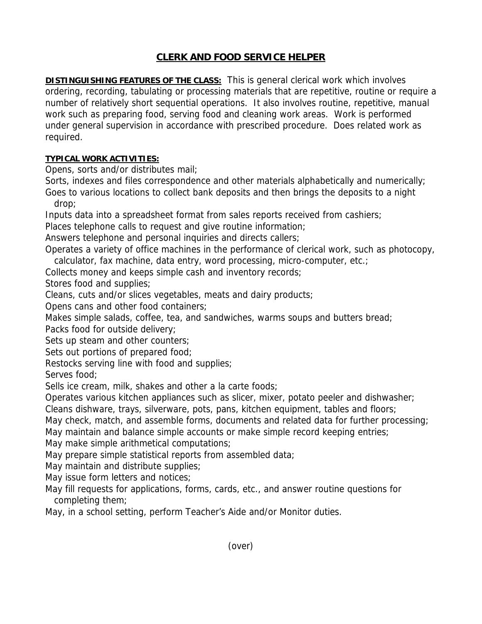## **CLERK AND FOOD SERVICE HELPER**

**DISTINGUISHING FEATURES OF THE CLASS:** This is general clerical work which involves ordering, recording, tabulating or processing materials that are repetitive, routine or require a number of relatively short sequential operations. It also involves routine, repetitive, manual work such as preparing food, serving food and cleaning work areas. Work is performed under general supervision in accordance with prescribed procedure. Does related work as required.

## **TYPICAL WORK ACTIVITIES:**

Opens, sorts and/or distributes mail;

Sorts, indexes and files correspondence and other materials alphabetically and numerically;

Goes to various locations to collect bank deposits and then brings the deposits to a night drop;

Inputs data into a spreadsheet format from sales reports received from cashiers;

Places telephone calls to request and give routine information;

Answers telephone and personal inquiries and directs callers;

Operates a variety of office machines in the performance of clerical work, such as photocopy, calculator, fax machine, data entry, word processing, micro-computer, etc.;

Collects money and keeps simple cash and inventory records;

Stores food and supplies;

Cleans, cuts and/or slices vegetables, meats and dairy products;

Opens cans and other food containers;

Makes simple salads, coffee, tea, and sandwiches, warms soups and butters bread;

Packs food for outside delivery;

Sets up steam and other counters;

Sets out portions of prepared food;

Restocks serving line with food and supplies;

Serves food;

Sells ice cream, milk, shakes and other a la carte foods;

Operates various kitchen appliances such as slicer, mixer, potato peeler and dishwasher;

Cleans dishware, trays, silverware, pots, pans, kitchen equipment, tables and floors;

May check, match, and assemble forms, documents and related data for further processing;

May maintain and balance simple accounts or make simple record keeping entries;

May make simple arithmetical computations;

May prepare simple statistical reports from assembled data;

May maintain and distribute supplies;

May issue form letters and notices;

May fill requests for applications, forms, cards, etc., and answer routine questions for completing them;

May, in a school setting, perform Teacher's Aide and/or Monitor duties.